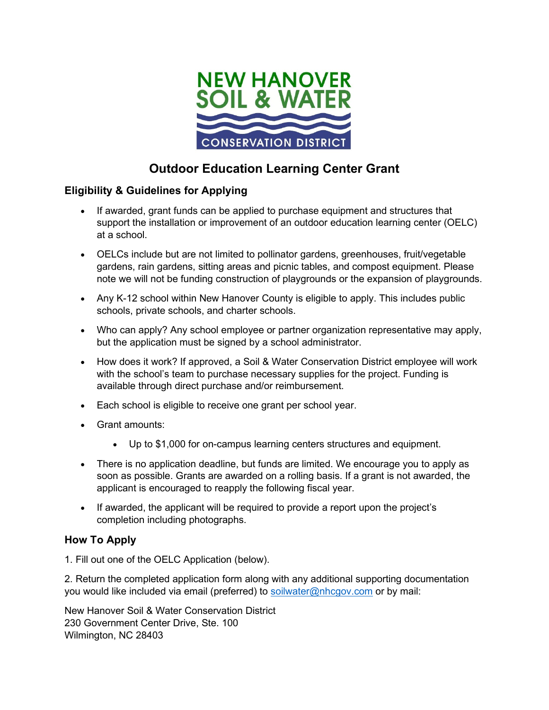

# **Outdoor Education Learning Center Grant**

## **Eligibility & Guidelines for Applying**

- If awarded, grant funds can be applied to purchase equipment and structures that support the installation or improvement of an outdoor education learning center (OELC) at a school.
- OELCs include but are not limited to pollinator gardens, greenhouses, fruit/vegetable gardens, rain gardens, sitting areas and picnic tables, and compost equipment. Please note we will not be funding construction of playgrounds or the expansion of playgrounds.
- Any K-12 school within New Hanover County is eligible to apply. This includes public schools, private schools, and charter schools.
- Who can apply? Any school employee or partner organization representative may apply, but the application must be signed by a school administrator.
- How does it work? If approved, a Soil & Water Conservation District employee will work with the school's team to purchase necessary supplies for the project. Funding is available through direct purchase and/or reimbursement.
- Each school is eligible to receive one grant per school year.
- Grant amounts:
	- Up to \$1,000 for on-campus learning centers structures and equipment.
- There is no application deadline, but funds are limited. We encourage you to apply as soon as possible. Grants are awarded on a rolling basis. If a grant is not awarded, the applicant is encouraged to reapply the following fiscal year.
- If awarded, the applicant will be required to provide a report upon the project's completion including photographs.

## **How To Apply**

1. Fill out one of the OELC Application (below).

2. Return the completed application form along with any additional supporting documentation you would like included via email (preferred) to [soilwater@nhcgov.com](mailto:soilwater@nhcgov.com) or by mail:

New Hanover Soil & Water Conservation District 230 Government Center Drive, Ste. 100 Wilmington, NC 28403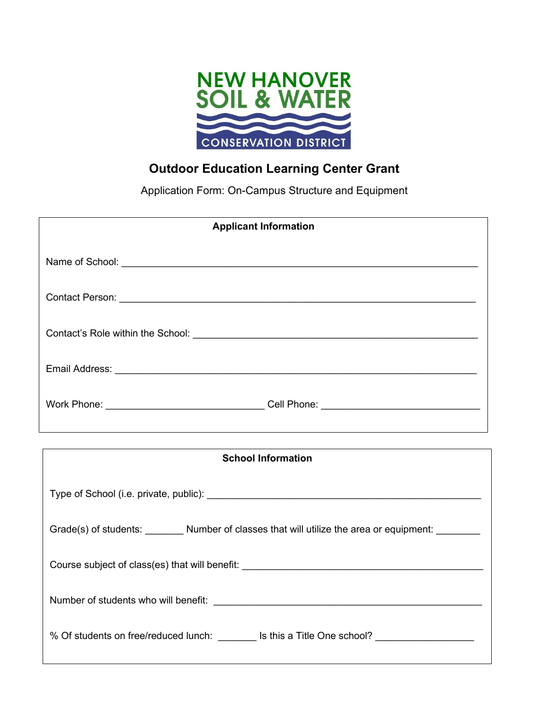

## **Outdoor Education Learning Center Grant**

Application Form: On-Campus Structure and Equipment

| <b>Applicant Information</b>                                                                        |  |  |
|-----------------------------------------------------------------------------------------------------|--|--|
|                                                                                                     |  |  |
|                                                                                                     |  |  |
|                                                                                                     |  |  |
|                                                                                                     |  |  |
|                                                                                                     |  |  |
| ,我们也不会有什么。""我们的人,我们也不会有什么?""我们的人,我们也不会有什么?""我们的人,我们也不会有什么?""我们的人,我们也不会有什么?""我们的人                    |  |  |
| <b>School Information</b>                                                                           |  |  |
|                                                                                                     |  |  |
| Grade(s) of students: _________ Number of classes that will utilize the area or equipment: ________ |  |  |
| Course subject of class(es) that will benefit: _____________                                        |  |  |

Number of students who will benefit: \_\_\_\_\_\_\_\_\_\_\_\_\_\_\_\_\_\_\_\_\_\_\_\_\_\_\_\_\_\_\_\_\_\_\_\_\_\_\_\_\_\_\_\_\_\_\_\_\_

% Of students on free/reduced lunch: \_\_\_\_\_\_\_ Is this a Title One school? \_\_\_\_\_\_\_\_\_\_\_\_\_\_\_\_\_\_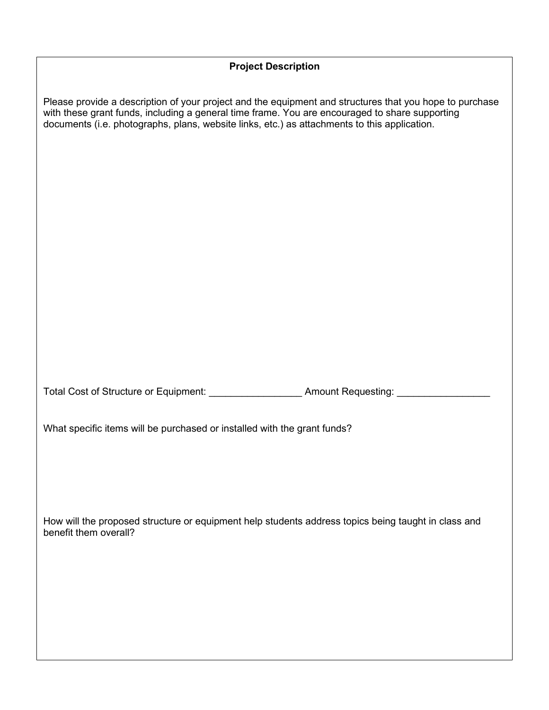#### **Project Description**

Please provide a description of your project and the equipment and structures that you hope to purchase with these grant funds, including a general time frame. You are encouraged to share supporting documents (i.e. photographs, plans, website links, etc.) as attachments to this application.

Total Cost of Structure or Equipment: \_\_\_\_\_\_\_\_\_\_\_\_\_\_\_\_\_ Amount Requesting: \_\_\_\_\_\_\_\_\_\_\_\_\_\_\_\_\_

What specific items will be purchased or installed with the grant funds?

How will the proposed structure or equipment help students address topics being taught in class and benefit them overall?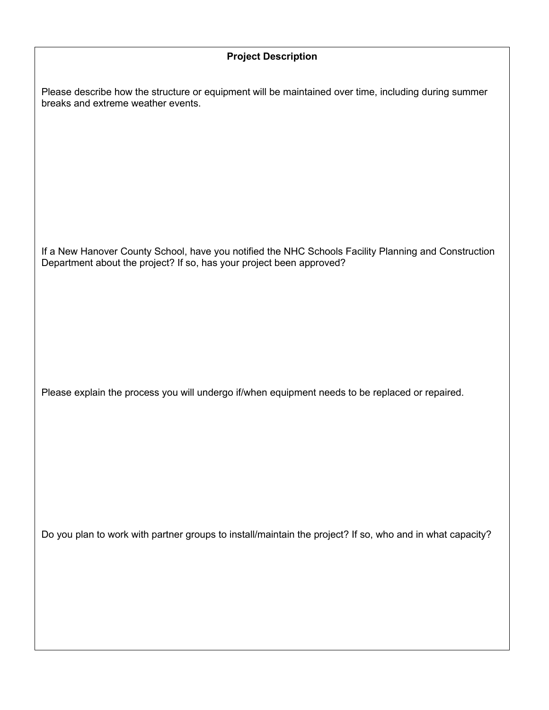#### **Project Description**

Please describe how the structure or equipment will be maintained over time, including during summer breaks and extreme weather events.

If a New Hanover County School, have you notified the NHC Schools Facility Planning and Construction Department about the project? If so, has your project been approved?

Please explain the process you will undergo if/when equipment needs to be replaced or repaired.

Do you plan to work with partner groups to install/maintain the project? If so, who and in what capacity?